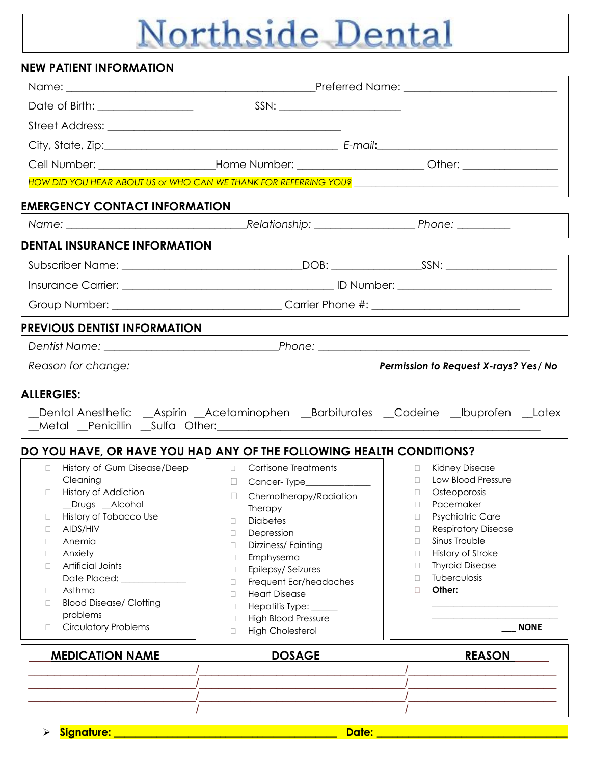# Northside Dental

| <b>NEW PATIENT INFORMATION</b>                                                               |                                                                                                                                                                                                                                                                                                                                                                                                                                    |                                                                                                                 |  |  |  |  |  |
|----------------------------------------------------------------------------------------------|------------------------------------------------------------------------------------------------------------------------------------------------------------------------------------------------------------------------------------------------------------------------------------------------------------------------------------------------------------------------------------------------------------------------------------|-----------------------------------------------------------------------------------------------------------------|--|--|--|--|--|
|                                                                                              |                                                                                                                                                                                                                                                                                                                                                                                                                                    |                                                                                                                 |  |  |  |  |  |
| Date of Birth: _________________                                                             | $SSN: \begin{tabular}{ c c c } \hline \multicolumn{3}{ c }{\textbf{SSN}}: & \multicolumn{3}{ c }{\textbf{SSN}}: & \multicolumn{3}{ c }{\textbf{SSN}}: & \multicolumn{3}{ c }{\textbf{SSN}}: & \multicolumn{3}{ c }{\textbf{SSN}}: & \multicolumn{3}{ c }{\textbf{SSN}}: & \multicolumn{3}{ c }{\textbf{SSN}}: & \multicolumn{3}{ c }{\textbf{SSN}}: & \multicolumn{3}{ c }{\textbf{SSN}}: & \multicolumn{3}{ c }{\textbf{SSN}}: &$ |                                                                                                                 |  |  |  |  |  |
|                                                                                              |                                                                                                                                                                                                                                                                                                                                                                                                                                    |                                                                                                                 |  |  |  |  |  |
|                                                                                              |                                                                                                                                                                                                                                                                                                                                                                                                                                    |                                                                                                                 |  |  |  |  |  |
|                                                                                              |                                                                                                                                                                                                                                                                                                                                                                                                                                    | Cell Number: _______________________Home Number: _________________________Other: __________________             |  |  |  |  |  |
|                                                                                              |                                                                                                                                                                                                                                                                                                                                                                                                                                    | HOW DID YOU HEAR ABOUT US or WHO CAN WE THANK FOR REFERRING YOU? The contract of the contract of the contract o |  |  |  |  |  |
|                                                                                              |                                                                                                                                                                                                                                                                                                                                                                                                                                    |                                                                                                                 |  |  |  |  |  |
| <b>EMERGENCY CONTACT INFORMATION</b>                                                         |                                                                                                                                                                                                                                                                                                                                                                                                                                    |                                                                                                                 |  |  |  |  |  |
|                                                                                              |                                                                                                                                                                                                                                                                                                                                                                                                                                    |                                                                                                                 |  |  |  |  |  |
| <b>DENTAL INSURANCE INFORMATION</b>                                                          |                                                                                                                                                                                                                                                                                                                                                                                                                                    |                                                                                                                 |  |  |  |  |  |
|                                                                                              |                                                                                                                                                                                                                                                                                                                                                                                                                                    |                                                                                                                 |  |  |  |  |  |
|                                                                                              |                                                                                                                                                                                                                                                                                                                                                                                                                                    |                                                                                                                 |  |  |  |  |  |
|                                                                                              |                                                                                                                                                                                                                                                                                                                                                                                                                                    |                                                                                                                 |  |  |  |  |  |
| <b>PREVIOUS DENTIST INFORMATION</b>                                                          |                                                                                                                                                                                                                                                                                                                                                                                                                                    |                                                                                                                 |  |  |  |  |  |
|                                                                                              |                                                                                                                                                                                                                                                                                                                                                                                                                                    |                                                                                                                 |  |  |  |  |  |
| Reason for change:                                                                           |                                                                                                                                                                                                                                                                                                                                                                                                                                    | Permission to Request X-rays? Yes/ No                                                                           |  |  |  |  |  |
|                                                                                              |                                                                                                                                                                                                                                                                                                                                                                                                                                    |                                                                                                                 |  |  |  |  |  |
| <b>ALLERGIES:</b>                                                                            |                                                                                                                                                                                                                                                                                                                                                                                                                                    |                                                                                                                 |  |  |  |  |  |
|                                                                                              |                                                                                                                                                                                                                                                                                                                                                                                                                                    | _Dental Anesthetic __Aspirin __Acetaminophen __Barbiturates __Codeine __Ibuprofen __Latex                       |  |  |  |  |  |
|                                                                                              |                                                                                                                                                                                                                                                                                                                                                                                                                                    |                                                                                                                 |  |  |  |  |  |
| DO YOU HAVE, OR HAVE YOU HAD ANY OF THE FOLLOWING HEALTH CONDITIONS?                         |                                                                                                                                                                                                                                                                                                                                                                                                                                    |                                                                                                                 |  |  |  |  |  |
| History of Gum Disease/Deep     a Cortisone Treatments<br>$\Box$<br>Cleaning <b>Cleaning</b> |                                                                                                                                                                                                                                                                                                                                                                                                                                    | □ Kidney Disease                                                                                                |  |  |  |  |  |
| <b>History of Addiction</b><br>□                                                             |                                                                                                                                                                                                                                                                                                                                                                                                                                    | Osteoporosis<br>$\Box$                                                                                          |  |  |  |  |  |
| _Drugs _Alcohol                                                                              | Chemotherapy/Radiation<br>П<br>Therapy                                                                                                                                                                                                                                                                                                                                                                                             | Pacemaker<br>$\Box$                                                                                             |  |  |  |  |  |
| History of Tobacco Use<br>Ц                                                                  | <b>Diabetes</b><br>$\Box$                                                                                                                                                                                                                                                                                                                                                                                                          | Psychiatric Care<br>$\Box$                                                                                      |  |  |  |  |  |
| AIDS/HIV<br>□                                                                                | Depression<br>$\Box$                                                                                                                                                                                                                                                                                                                                                                                                               | <b>Respiratory Disease</b><br>$\Box$                                                                            |  |  |  |  |  |
| Anemia<br>П                                                                                  | Dizziness/Fainting<br>$\Box$                                                                                                                                                                                                                                                                                                                                                                                                       | Sinus Trouble<br>$\Box$                                                                                         |  |  |  |  |  |
| Anxiety<br>0                                                                                 | Emphysema<br>$\Box$                                                                                                                                                                                                                                                                                                                                                                                                                | History of Stroke<br>$\Box$                                                                                     |  |  |  |  |  |
| <b>Artificial Joints</b><br>$\Box$                                                           | Epilepsy/Seizures<br>$\Box$                                                                                                                                                                                                                                                                                                                                                                                                        | <b>Thyroid Disease</b><br>$\Box$                                                                                |  |  |  |  |  |
|                                                                                              | Frequent Ear/headaches<br>$\Box$                                                                                                                                                                                                                                                                                                                                                                                                   | Tuberculosis<br>$\Box$                                                                                          |  |  |  |  |  |
|                                                                                              |                                                                                                                                                                                                                                                                                                                                                                                                                                    |                                                                                                                 |  |  |  |  |  |
| Asthma<br>0                                                                                  | <b>Heart Disease</b><br>$\Box$                                                                                                                                                                                                                                                                                                                                                                                                     | Other:<br>п                                                                                                     |  |  |  |  |  |
| <b>Blood Disease/ Clotting</b><br>□                                                          | Hepatitis Type: _____<br>$\Box$                                                                                                                                                                                                                                                                                                                                                                                                    |                                                                                                                 |  |  |  |  |  |
| problems                                                                                     | <b>High Blood Pressure</b><br>$\Box$                                                                                                                                                                                                                                                                                                                                                                                               |                                                                                                                 |  |  |  |  |  |
| <b>Circulatory Problems</b><br>□                                                             | <b>High Cholesterol</b><br>$\Box$                                                                                                                                                                                                                                                                                                                                                                                                  | <b>NONE</b>                                                                                                     |  |  |  |  |  |
| <b>MEDICATION NAME</b>                                                                       | <b>DOSAGE</b>                                                                                                                                                                                                                                                                                                                                                                                                                      | <b>REASON</b>                                                                                                   |  |  |  |  |  |
|                                                                                              |                                                                                                                                                                                                                                                                                                                                                                                                                                    |                                                                                                                 |  |  |  |  |  |
|                                                                                              |                                                                                                                                                                                                                                                                                                                                                                                                                                    |                                                                                                                 |  |  |  |  |  |

**Signature: \_\_\_\_\_\_\_\_\_\_\_\_\_\_\_\_\_\_\_\_\_\_\_\_\_\_\_\_\_\_\_\_\_\_\_\_\_\_\_\_\_\_ Date: \_\_\_\_\_\_\_\_\_\_\_\_\_\_\_\_\_\_\_\_\_\_\_\_\_\_\_\_\_\_\_\_\_\_\_\_**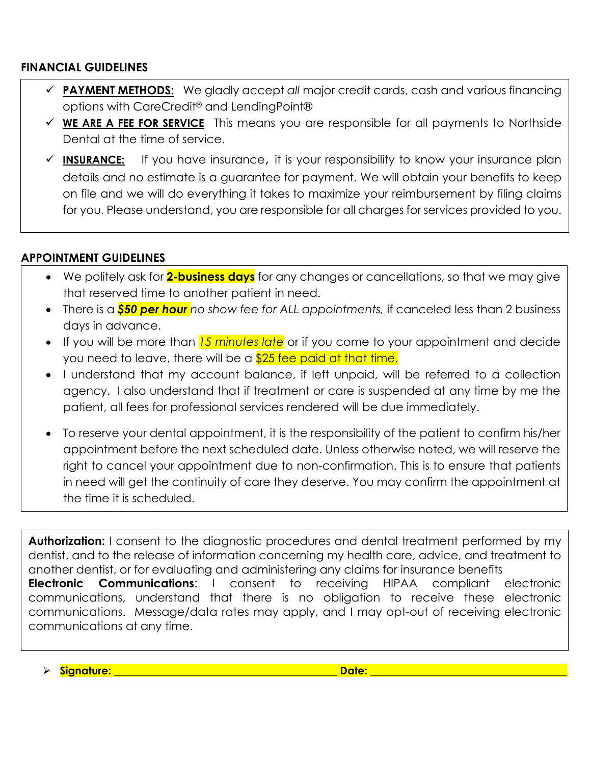### **FINANCIAL GUIDELINES**

- **PAYMENT METHODS:** We gladly accept *all* major credit cards, cash and various financing options with CareCredit® and LendingPoint®
- **WE ARE A FEE FOR SERVICE** This means you are responsible for all payments to Northside Dental at the time of service.
- **INSURANCE:** If you have insurance, it is your responsibility to know your insurance plan details and no estimate is a guarantee for payment. We will obtain your benefits to keep on file and we will do everything it takes to maximize your reimbursement by filing claims for you. Please understand, you are responsible for all charges for services provided to you.

## **APPOINTMENT GUIDELINES**

- We politely ask for **2-business days** for any changes or cancellations, so that we may give that reserved time to another patient in need.
- There is a *\$50 per hour no show fee for ALL appointments,* if canceled less than 2 business days in advance.
- If you will be more than *15 minutes late* or if you come to your appointment and decide you need to leave, there will be a \$25 fee paid at that time.
- I understand that my account balance, if left unpaid, will be referred to a collection agency. I also understand that if treatment or care is suspended at any time by me the patient, all fees for professional services rendered will be due immediately.
- To reserve your dental appointment, it is the responsibility of the patient to confirm his/her appointment before the next scheduled date. Unless otherwise noted, we will reserve the right to cancel your appointment due to non-confirmation. This is to ensure that patients in need will get the continuity of care they deserve. You may confirm the appointment at the time it is scheduled.

**Authorization:** I consent to the diagnostic procedures and dental treatment performed by my dentist, and to the release of information concerning my health care, advice, and treatment to another dentist, or for evaluating and administering any claims for insurance benefits **Electronic Communications**: I consent to receiving HIPAA compliant electronic communications, understand that there is no obligation to receive these electronic communications. Message/data rates may apply, and I may opt-out of receiving electronic communications at any time.

**Signature: \_\_\_\_\_\_\_\_\_\_\_\_\_\_\_\_\_\_\_\_\_\_\_\_\_\_\_\_\_\_\_\_\_\_\_\_\_\_\_\_\_\_ Date: \_\_\_\_\_\_\_\_\_\_\_\_\_\_\_\_\_\_\_\_\_\_\_\_\_\_\_\_\_\_\_\_\_\_\_\_\_**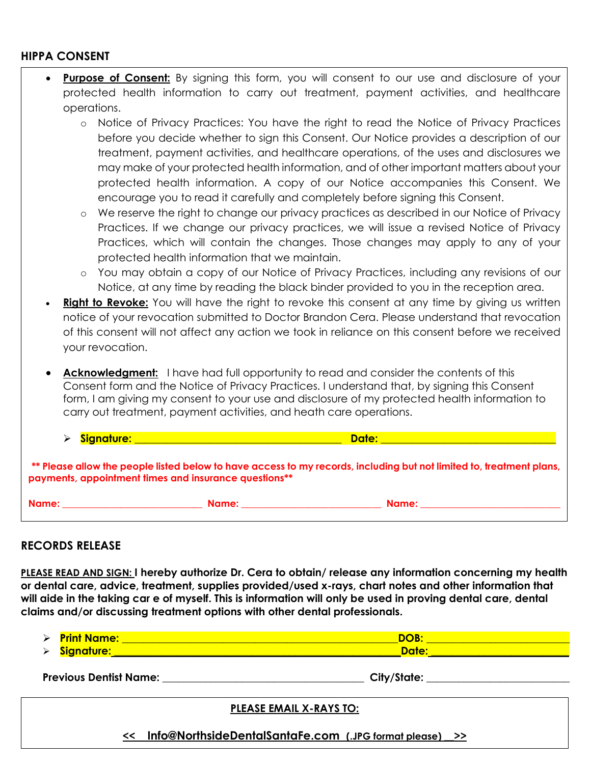#### **HIPPA CONSENT**

- **Purpose of Consent:** By signing this form, you will consent to our use and disclosure of your protected health information to carry out treatment, payment activities, and healthcare operations.
	- o Notice of Privacy Practices: You have the right to read the Notice of Privacy Practices before you decide whether to sign this Consent. Our Notice provides a description of our treatment, payment activities, and healthcare operations, of the uses and disclosures we may make of your protected health information, and of other important matters about your protected health information. A copy of our Notice accompanies this Consent. We encourage you to read it carefully and completely before signing this Consent.
	- o We reserve the right to change our privacy practices as described in our Notice of Privacy Practices. If we change our privacy practices, we will issue a revised Notice of Privacy Practices, which will contain the changes. Those changes may apply to any of your protected health information that we maintain.
	- o You may obtain a copy of our Notice of Privacy Practices, including any revisions of our Notice, at any time by reading the black binder provided to you in the reception area.
- **Right to Revoke:** You will have the right to revoke this consent at any time by giving us written notice of your revocation submitted to Doctor Brandon Cera. Please understand that revocation of this consent will not affect any action we took in reliance on this consent before we received your revocation.
- **Acknowledgment:** I have had full opportunity to read and consider the contents of this Consent form and the Notice of Privacy Practices. I understand that, by signing this Consent form, I am giving my consent to your use and disclosure of my protected health information to carry out treatment, payment activities, and heath care operations.
- **Signature: \_\_\_\_\_\_\_\_\_\_\_\_\_\_\_\_\_\_\_\_\_\_\_\_\_\_\_\_\_\_\_\_\_\_\_\_\_\_\_ Date: \_\_\_\_\_\_\_\_\_\_\_\_\_\_\_\_\_\_\_\_\_\_\_\_\_\_\_\_\_\_\_\_\_**

**\*\* Please allow the people listed below to have access to my records, including but not limited to, treatment plans, payments, appointment times and insurance questions\*\***

| . .<br>× |  |
|----------|--|
|----------|--|

**Name: \_\_\_\_\_\_\_\_\_\_\_\_\_\_\_\_\_\_\_\_\_\_\_\_\_\_\_\_\_ Name: \_\_\_\_\_\_\_\_\_\_\_\_\_\_\_\_\_\_\_\_\_\_\_\_\_\_\_\_\_ Name: \_\_\_\_\_\_\_\_\_\_\_\_\_\_\_\_\_\_\_\_\_\_\_\_\_\_\_\_\_**

#### **RECORDS RELEASE**  $\overline{a}$

**PLEASE READ AND SIGN: I hereby authorize Dr. Cera to obtain/ release any information concerning my health or dental care, advice, treatment, supplies provided/used x-rays, chart notes and other information that will aide in the taking car e of myself. This is information will only be used in proving dental care, dental claims and/or discussing treatment options with other dental professionals.** 

| $\triangleright$ | <b>Print Name:</b> |        |
|------------------|--------------------|--------|
| ↘                | <b>signature:</b>  | Date:/ |

**Previous Dentist Name: \_\_\_\_\_\_\_\_\_\_\_\_\_\_\_\_\_\_\_\_\_\_\_\_\_\_\_\_\_\_\_\_\_\_\_\_\_\_ City/State: \_\_\_\_\_\_\_\_\_\_\_\_\_\_\_\_\_\_\_\_\_\_\_\_\_\_\_**

#### **PLEASE EMAIL X-RAYS TO:**

**<< [Info@NorthsideDentalSantaFe.com](mailto:Info@NorthsideDentalSantaFe.com) (.JPG format please) \_\_>>**